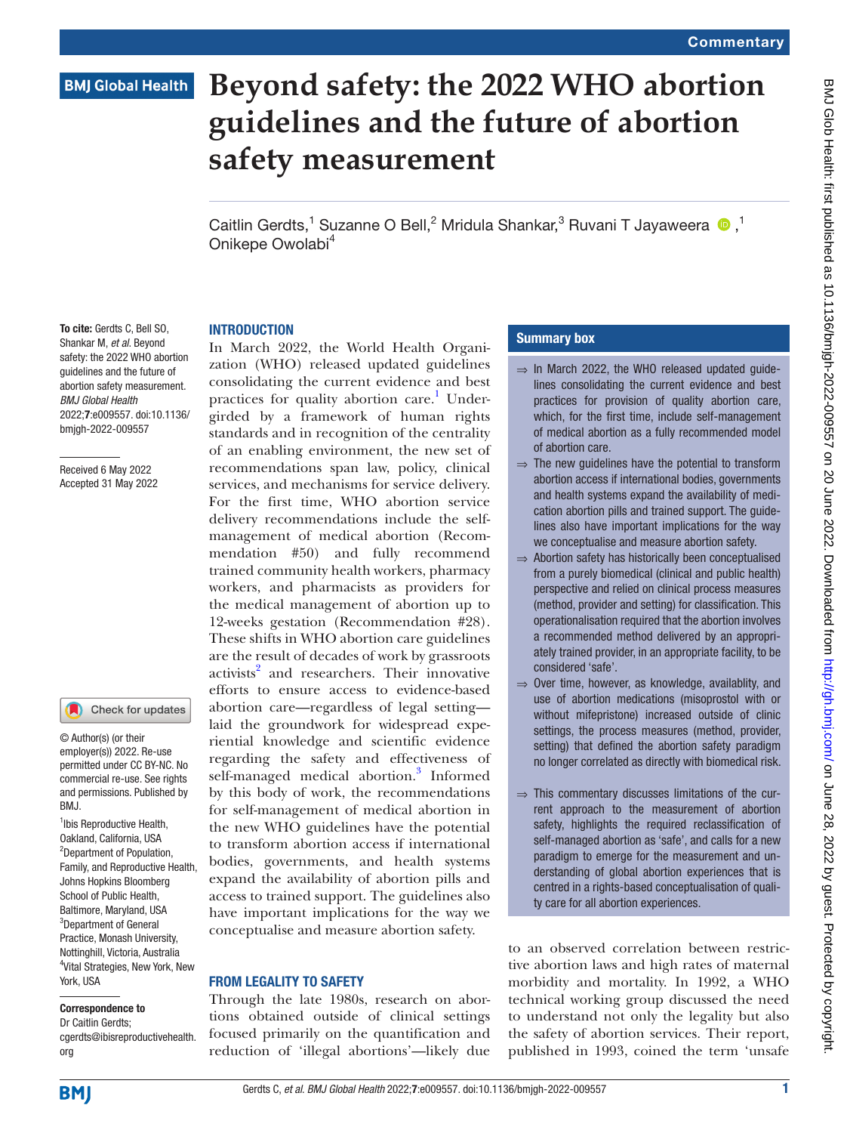## **BMJ Global Health**

# **Beyond safety: the 2022 WHO abortion guidelines and the future of abortion safety measurement**

CaitlinGerdts,<sup>1</sup> Suzanne O Bell,<sup>2</sup> Mridula Shankar,<sup>3</sup> Ruvani T Jayaweera <sup>1</sup>0,<sup>1</sup> Onikepe Owolabi<sup>4</sup>

## **INTRODUCTION**

To cite: Gerdts C, Bell SO, Shankar M, *et al*. Beyond safety: the 2022 WHO abortion guidelines and the future of abortion safety measurement. *BMJ Global Health* 2022;7:e009557. doi:10.1136/ bmjgh-2022-009557

Received 6 May 2022 Accepted 31 May 2022

#### Check for updates

© Author(s) (or their employer(s)) 2022. Re-use permitted under CC BY-NC. No commercial re-use. See rights and permissions. Published by RM<sub>J</sub>

<sup>1</sup>Ibis Reproductive Health, Oakland, California, USA 2 Department of Population, Family, and Reproductive Health, Johns Hopkins Bloomberg School of Public Health, Baltimore, Maryland, USA 3 Department of General Practice, Monash University, Nottinghill, Victoria, Australia 4 Vital Strategies, New York, New York, USA

#### Correspondence to

Dr Caitlin Gerdts; cgerdts@ibisreproductivehealth. org

In March 2022, the World Health Organization (WHO) released updated guidelines consolidating the current evidence and best practices for quality abortion care.<sup>[1](#page-2-0)</sup> Undergirded by a framework of human rights standards and in recognition of the centrality of an enabling environment, the new set of recommendations span law, policy, clinical services, and mechanisms for service delivery. For the first time, WHO abortion service delivery recommendations include the selfmanagement of medical abortion (Recommendation #50) and fully recommend trained community health workers, pharmacy workers, and pharmacists as providers for the medical management of abortion up to 12-weeks gestation (Recommendation #28). These shifts in WHO abortion care guidelines are the result of decades of work by grassroots activists<sup>[2](#page-2-1)</sup> and researchers. Their innovative efforts to ensure access to evidence-based abortion care—regardless of legal setting laid the groundwork for widespread experiential knowledge and scientific evidence regarding the safety and effectiveness of self-managed medical abortion.<sup>[3](#page-2-2)</sup> Informed by this body of work, the recommendations for self-management of medical abortion in the new WHO guidelines have the potential to transform abortion access if international bodies, governments, and health systems expand the availability of abortion pills and access to trained support. The guidelines also have important implications for the way we conceptualise and measure abortion safety.

#### FROM LEGALITY TO SAFETY

Through the late 1980s, research on abortions obtained outside of clinical settings focused primarily on the quantification and reduction of 'illegal abortions'—likely due

## Summary box

- $\Rightarrow$  In March 2022, the WHO released updated quidelines consolidating the current evidence and best practices for provision of quality abortion care, which, for the first time, include self-management of medical abortion as a fully recommended model of abortion care.
- $\Rightarrow$  The new quidelines have the potential to transform abortion access if international bodies, governments and health systems expand the availability of medication abortion pills and trained support. The guidelines also have important implications for the way we conceptualise and measure abortion safety.
- ⇒ Abortion safety has historically been conceptualised from a purely biomedical (clinical and public health) perspective and relied on clinical process measures (method, provider and setting) for classification. This operationalisation required that the abortion involves a recommended method delivered by an appropriately trained provider, in an appropriate facility, to be considered 'safe'.
- $\Rightarrow$  Over time, however, as knowledge, availablity, and use of abortion medications (misoprostol with or without mifepristone) increased outside of clinic settings, the process measures (method, provider, setting) that defined the abortion safety paradigm no longer correlated as directly with biomedical risk.
- $\Rightarrow$  This commentary discusses limitations of the current approach to the measurement of abortion safety, highlights the required reclassification of self-managed abortion as 'safe', and calls for a new paradigm to emerge for the measurement and understanding of global abortion experiences that is centred in a rights-based conceptualisation of quality care for all abortion experiences.

to an observed correlation between restrictive abortion laws and high rates of maternal morbidity and mortality. In 1992, a WHO technical working group discussed the need to understand not only the legality but also the safety of abortion services. Their report, published in 1993, coined the term 'unsafe

**BMI**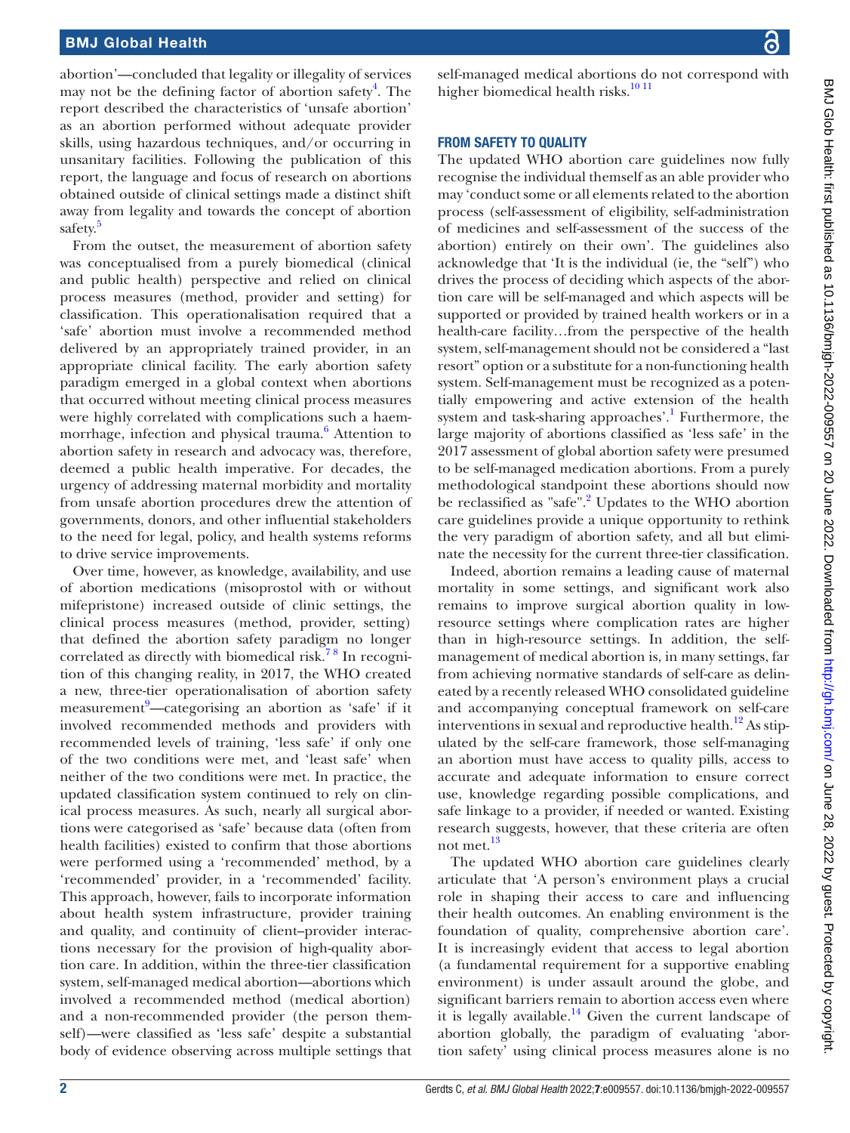abortion'—concluded that legality or illegality of services may not be the defining factor of abortion safety<sup>[4](#page-2-3)</sup>. The report described the characteristics of 'unsafe abortion' as an abortion performed without adequate provider skills, using hazardous techniques, and/or occurring in unsanitary facilities. Following the publication of this report, the language and focus of research on abortions obtained outside of clinical settings made a distinct shift away from legality and towards the concept of abortion safety.<sup>[5](#page-2-4)</sup>

From the outset, the measurement of abortion safety was conceptualised from a purely biomedical (clinical and public health) perspective and relied on clinical process measures (method, provider and setting) for classification. This operationalisation required that a 'safe' abortion must involve a recommended method delivered by an appropriately trained provider, in an appropriate clinical facility. The early abortion safety paradigm emerged in a global context when abortions that occurred without meeting clinical process measures were highly correlated with complications such a haem-morrhage, infection and physical trauma.<sup>[6](#page-2-5)</sup> Attention to abortion safety in research and advocacy was, therefore, deemed a public health imperative. For decades, the urgency of addressing maternal morbidity and mortality from unsafe abortion procedures drew the attention of governments, donors, and other influential stakeholders to the need for legal, policy, and health systems reforms to drive service improvements.

Over time, however, as knowledge, availability, and use of abortion medications (misoprostol with or without mifepristone) increased outside of clinic settings, the clinical process measures (method, provider, setting) that defined the abortion safety paradigm no longer correlated as directly with biomedical risk.<sup>78</sup> In recognition of this changing reality, in 2017, the WHO created a new, three-tier operationalisation of abortion safety measurement<sup>[9](#page-2-7)</sup>—categorising an abortion as 'safe' if it involved recommended methods and providers with recommended levels of training, 'less safe' if only one of the two conditions were met, and 'least safe' when neither of the two conditions were met. In practice, the updated classification system continued to rely on clinical process measures. As such, nearly all surgical abortions were categorised as 'safe' because data (often from health facilities) existed to confirm that those abortions were performed using a 'recommended' method, by a 'recommended' provider, in a 'recommended' facility. This approach, however, fails to incorporate information about health system infrastructure, provider training and quality, and continuity of client–provider interactions necessary for the provision of high-quality abortion care. In addition, within the three-tier classification system, self-managed medical abortion—abortions which involved a recommended method (medical abortion) and a non-recommended provider (the person themself)—were classified as 'less safe' despite a substantial body of evidence observing across multiple settings that

self-managed medical abortions do not correspond with higher biomedical health risks.<sup>[10 11](#page-2-8)</sup>

## FROM SAFETY TO QUALITY

The updated WHO abortion care guidelines now fully recognise the individual themself as an able provider who may 'conduct some or all elements related to the abortion process (self-assessment of eligibility, self-administration of medicines and self-assessment of the success of the abortion) entirely on their own'. The guidelines also acknowledge that 'It is the individual (ie, the "self") who drives the process of deciding which aspects of the abortion care will be self-managed and which aspects will be supported or provided by trained health workers or in a health-care facility…from the perspective of the health system, self-management should not be considered a "last resort" option or a substitute for a non-functioning health system. Self-management must be recognized as a potentially empowering and active extension of the health system and task-sharing approaches'.<sup>1</sup> Furthermore, the large majority of abortions classified as 'less safe' in the 2017 assessment of global abortion safety were presumed to be self-managed medication abortions. From a purely methodological standpoint these abortions should now be reclassified as "safe".<sup>[2](#page-2-1)</sup> Updates to the WHO abortion care guidelines provide a unique opportunity to rethink the very paradigm of abortion safety, and all but eliminate the necessity for the current three-tier classification.

Indeed, abortion remains a leading cause of maternal mortality in some settings, and significant work also remains to improve surgical abortion quality in lowresource settings where complication rates are higher than in high-resource settings. In addition, the selfmanagement of medical abortion is, in many settings, far from achieving normative standards of self-care as delineated by a recently released WHO consolidated guideline and accompanying conceptual framework on self-care interventions in sexual and reproductive health.<sup>12</sup> As stipulated by the self-care framework, those self-managing an abortion must have access to quality pills, access to accurate and adequate information to ensure correct use, knowledge regarding possible complications, and safe linkage to a provider, if needed or wanted. Existing research suggests, however, that these criteria are often not met.<sup>[13](#page-2-10)</sup>

The updated WHO abortion care guidelines clearly articulate that 'A person's environment plays a crucial role in shaping their access to care and influencing their health outcomes. An enabling environment is the foundation of quality, comprehensive abortion care'. It is increasingly evident that access to legal abortion (a fundamental requirement for a supportive enabling environment) is under assault around the globe, and significant barriers remain to abortion access even where it is legally available.<sup>14</sup> Given the current landscape of abortion globally, the paradigm of evaluating 'abortion safety' using clinical process measures alone is no